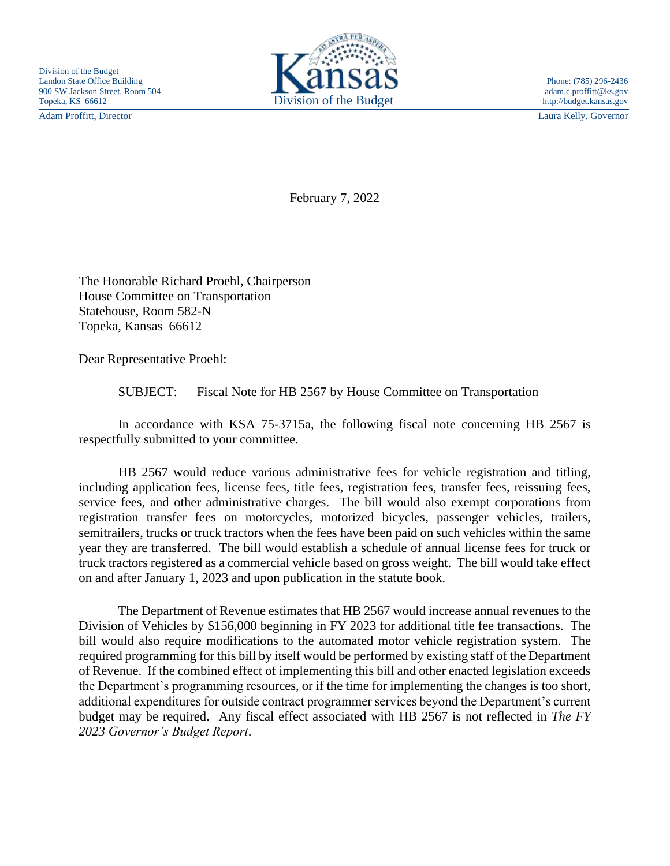Adam Proffitt, Director Laura Kelly, Governor



February 7, 2022

The Honorable Richard Proehl, Chairperson House Committee on Transportation Statehouse, Room 582-N Topeka, Kansas 66612

Dear Representative Proehl:

SUBJECT: Fiscal Note for HB 2567 by House Committee on Transportation

In accordance with KSA 75-3715a, the following fiscal note concerning HB 2567 is respectfully submitted to your committee.

HB 2567 would reduce various administrative fees for vehicle registration and titling, including application fees, license fees, title fees, registration fees, transfer fees, reissuing fees, service fees, and other administrative charges. The bill would also exempt corporations from registration transfer fees on motorcycles, motorized bicycles, passenger vehicles, trailers, semitrailers, trucks or truck tractors when the fees have been paid on such vehicles within the same year they are transferred. The bill would establish a schedule of annual license fees for truck or truck tractors registered as a commercial vehicle based on gross weight. The bill would take effect on and after January 1, 2023 and upon publication in the statute book.

The Department of Revenue estimates that HB 2567 would increase annual revenues to the Division of Vehicles by \$156,000 beginning in FY 2023 for additional title fee transactions. The bill would also require modifications to the automated motor vehicle registration system. The required programming for this bill by itself would be performed by existing staff of the Department of Revenue. If the combined effect of implementing this bill and other enacted legislation exceeds the Department's programming resources, or if the time for implementing the changes is too short, additional expenditures for outside contract programmer services beyond the Department's current budget may be required. Any fiscal effect associated with HB 2567 is not reflected in *The FY 2023 Governor's Budget Report*.